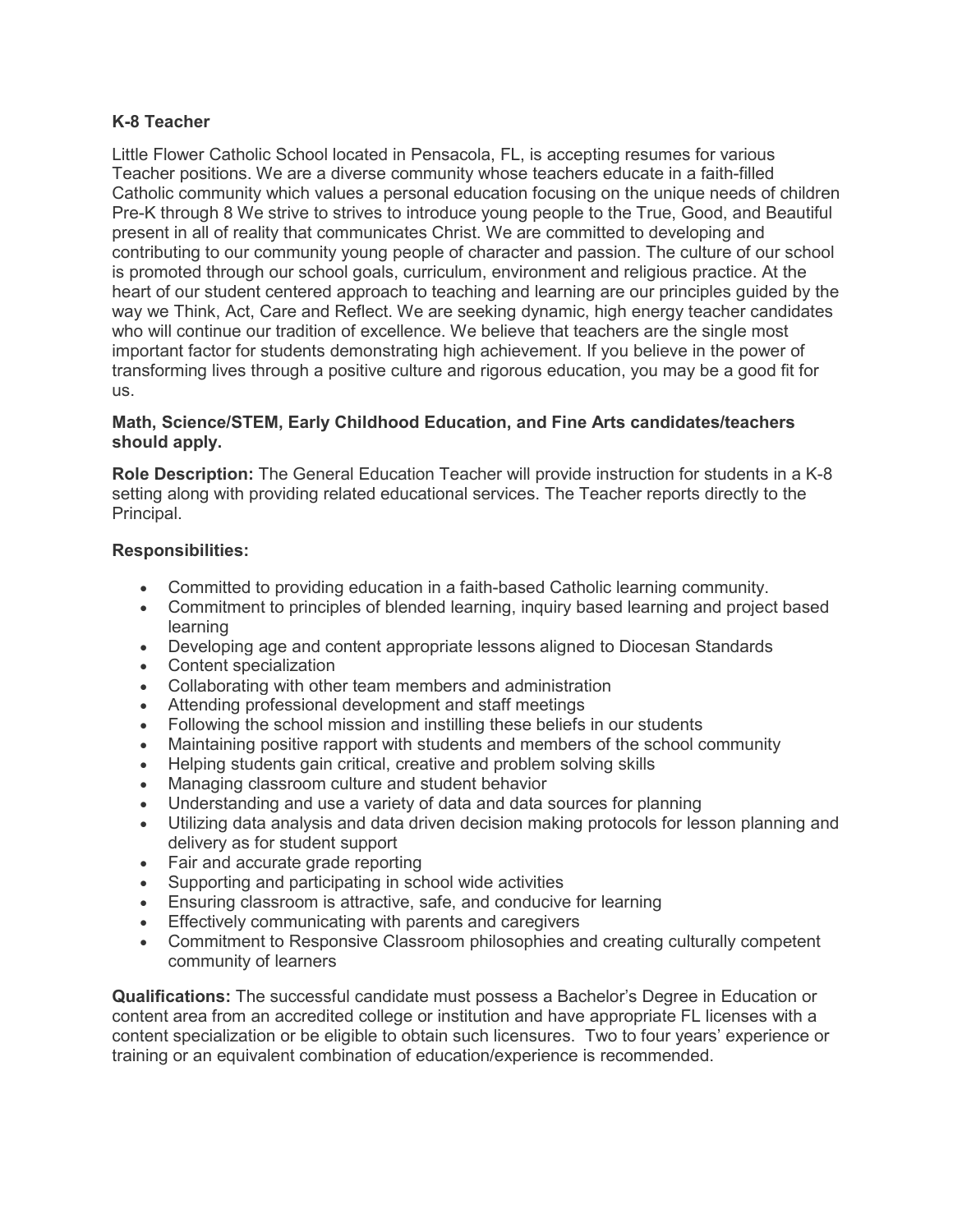## **K-8 Teacher**

Little Flower Catholic School located in Pensacola, FL, is accepting resumes for various Teacher positions. We are a diverse community whose teachers educate in a faith-filled Catholic community which values a personal education focusing on the unique needs of children Pre-K through 8 We strive to strives to introduce young people to the True, Good, and Beautiful present in all of reality that communicates Christ. We are committed to developing and contributing to our community young people of character and passion. The culture of our school is promoted through our school goals, curriculum, environment and religious practice. At the heart of our student centered approach to teaching and learning are our principles guided by the way we Think, Act, Care and Reflect. We are seeking dynamic, high energy teacher candidates who will continue our tradition of excellence. We believe that teachers are the single most important factor for students demonstrating high achievement. If you believe in the power of transforming lives through a positive culture and rigorous education, you may be a good fit for us.

## **Math, Science/STEM, Early Childhood Education, and Fine Arts candidates/teachers should apply.**

**Role Description:** The General Education Teacher will provide instruction for students in a K-8 setting along with providing related educational services. The Teacher reports directly to the Principal.

## **Responsibilities:**

- Committed to providing education in a faith-based Catholic learning community.
- Commitment to principles of blended learning, inquiry based learning and project based learning
- Developing age and content appropriate lessons aligned to Diocesan Standards
- Content specialization
- Collaborating with other team members and administration
- Attending professional development and staff meetings
- Following the school mission and instilling these beliefs in our students
- Maintaining positive rapport with students and members of the school community
- Helping students gain critical, creative and problem solving skills
- Managing classroom culture and student behavior
- Understanding and use a variety of data and data sources for planning
- Utilizing data analysis and data driven decision making protocols for lesson planning and delivery as for student support
- Fair and accurate grade reporting
- Supporting and participating in school wide activities
- Ensuring classroom is attractive, safe, and conducive for learning
- Effectively communicating with parents and caregivers
- Commitment to Responsive Classroom philosophies and creating culturally competent community of learners

**Qualifications:** The successful candidate must possess a Bachelor's Degree in Education or content area from an accredited college or institution and have appropriate FL licenses with a content specialization or be eligible to obtain such licensures. Two to four years' experience or training or an equivalent combination of education/experience is recommended.